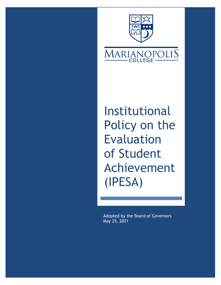



Institutional Policy on the Evaluation of Student Achievement (IPESA)

Adopted by the Board of Governors May 25, 2021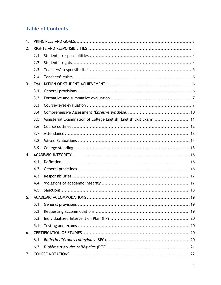# **Table of Contents**

| 1. |                                                                            |  |  |
|----|----------------------------------------------------------------------------|--|--|
| 2. |                                                                            |  |  |
|    |                                                                            |  |  |
|    |                                                                            |  |  |
|    |                                                                            |  |  |
|    |                                                                            |  |  |
| 3. |                                                                            |  |  |
|    |                                                                            |  |  |
|    | 3.2.                                                                       |  |  |
|    | 3.3.                                                                       |  |  |
|    | 3.4.                                                                       |  |  |
|    | Ministerial Examination of College English (English Exit Exam)  11<br>3.5. |  |  |
|    | 3.6.                                                                       |  |  |
|    | 3.7.                                                                       |  |  |
|    | 3.8.                                                                       |  |  |
|    |                                                                            |  |  |
| 4. |                                                                            |  |  |
|    |                                                                            |  |  |
|    |                                                                            |  |  |
|    | 4.3.                                                                       |  |  |
|    | 4.4.                                                                       |  |  |
|    |                                                                            |  |  |
| 5. |                                                                            |  |  |
|    | 5.1.                                                                       |  |  |
|    | 5.2.                                                                       |  |  |
|    | 5.3.                                                                       |  |  |
|    | 5.4.                                                                       |  |  |
| 6. |                                                                            |  |  |
|    |                                                                            |  |  |
|    |                                                                            |  |  |
| 7. |                                                                            |  |  |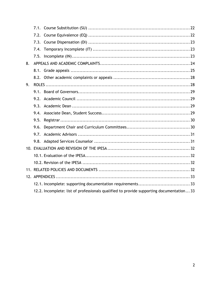| 8. |      |                                                                                          |  |
|----|------|------------------------------------------------------------------------------------------|--|
|    |      |                                                                                          |  |
|    |      |                                                                                          |  |
| 9. |      |                                                                                          |  |
|    |      |                                                                                          |  |
|    |      |                                                                                          |  |
|    |      |                                                                                          |  |
|    |      |                                                                                          |  |
|    | 9.5. |                                                                                          |  |
|    |      |                                                                                          |  |
|    | 9.7. |                                                                                          |  |
|    |      |                                                                                          |  |
|    |      |                                                                                          |  |
|    |      |                                                                                          |  |
|    |      |                                                                                          |  |
|    |      |                                                                                          |  |
|    |      |                                                                                          |  |
|    |      |                                                                                          |  |
|    |      | 12.2. Incomplete: list of professionals qualified to provide supporting documentation 33 |  |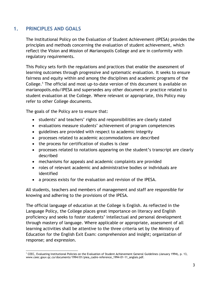## <span id="page-3-0"></span>**1. PRINCIPLES AND GOALS**

The Institutional Policy on the Evaluation of Student Achievement (IPESA) provides the principles and methods concerning the evaluation of student achievement, which reflect the Vision and Mission of Marianopolis College and are in conformity with regulatory requirements.

This Policy sets forth the regulations and practices that enable the assessment of learning outcomes through progressive and systematic evaluation. It seeks to ensure fairness and equity within and among the disciplines and academic programs of the College.<sup>1</sup> The official and most up-to-date version of this document is available on marianopolis.edu/IPESA and supersedes any other document or practice related to student evaluation at the College. Where relevant or appropriate, this Policy may refer to other College documents.

The goals of the Policy are to ensure that:

- students' and teachers' rights and responsibilities are clearly stated
- evaluations measure students' achievement of program competencies
- guidelines are provided with respect to academic integrity
- processes related to academic accommodations are described
- the process for certification of studies is clear
- processes related to notations appearing on the student's transcript are clearly described
- mechanisms for appeals and academic complaints are provided
- roles of relevant academic and administrative bodies or individuals are identified
- a process exists for the evaluation and revision of the IPESA.

All students, teachers and members of management and staff are responsible for knowing and adhering to the provisions of the IPESA.

The official language of education at the College is English. As reflected in the Language Policy, the College places great importance on literacy and English proficiency and seeks to foster students' intellectual and personal development through mastery of language. Where applicable or appropriate, assessment of all learning activities shall be attentive to the three criteria set by the Ministry of Education for the English Exit Exam: comprehension and insight; organization of response; and expression.

 <sup>1</sup> CEEC, Evaluating Institutional Policies on the Evaluation of Student Achievement General Guidelines (January 1994), p. 13, www.ceec.gouv.qc.ca/documents/1994/01/piea\_cadre-reference\_1994-01-11\_anglais.pdf.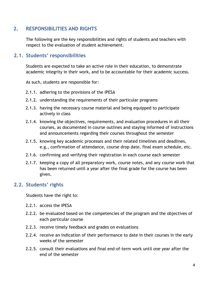## **2. RESPONSIBILITIES AND RIGHTS**

<span id="page-4-0"></span>The following are the key responsibilities and rights of students and teachers with respect to the evaluation of student achievement.

## **2.1. Students' responsibilities**

<span id="page-4-1"></span>Students are expected to take an active role in their education, to demonstrate academic integrity in their work, and to be accountable for their academic success.

As such, students are responsible for:

- 2.1.1. adhering to the provisions of the IPESA
- 2.1.2. understanding the requirements of their particular programs
- 2.1.3. having the necessary course material and being equipped to participate actively in class
- 2.1.4. knowing the objectives, requirements, and evaluation procedures in all their courses, as documented in course outlines and staying informed of instructions and announcements regarding their courses throughout the semester
- 2.1.5. knowing key academic processes and their related timelines and deadlines, e.g., confirmation of attendance, course drop date, final exam schedule, etc.
- 2.1.6. confirming and verifying their registration in each course each semester
- 2.1.7. keeping a copy of all preparatory work, course notes, and any course work that has been returned until a year after the final grade for the course has been given.

### **2.2. Students' rights**

<span id="page-4-2"></span>Students have the right to:

- 2.2.1. access the IPESA
- 2.2.2. be evaluated based on the competencies of the program and the objectives of each particular course
- 2.2.3. receive timely feedback and grades on evaluations
- 2.2.4. receive an indication of their performance to date in their courses in the early weeks of the semester
- 2.2.5. consult their evaluations and final end-of-term work until one year after the end of the semester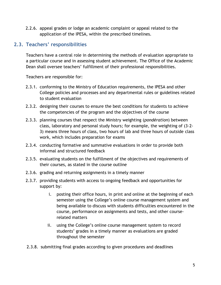2.2.6. appeal grades or lodge an academic complaint or appeal related to the application of the IPESA, within the prescribed timelines.

# **2.3. Teachers' responsibilities**

<span id="page-5-0"></span>Teachers have a central role in determining the methods of evaluation appropriate to a particular course and in assessing student achievement. The Office of the Academic Dean shall oversee teachers' fulfillment of their professional responsibilities.

Teachers are responsible for:

- 2.3.1. conforming to the Ministry of Education requirements, the IPESA and other College policies and processes and any departmental rules or guidelines related to student evaluation
- 2.3.2. designing their courses to ensure the best conditions for students to achieve the competencies of the program and the objectives of the course
- 2.3.3. planning courses that respect the Ministry weighting (*pondération*) between class, laboratory and personal study hours; for example, the weighting of (3-2- 3) means three hours of class, two hours of lab and three hours of outside class work, which includes preparation for exams
- 2.3.4. conducting formative and summative evaluations in order to provide both informal and structured feedback
- 2.3.5. evaluating students on the fulfillment of the objectives and requirements of their courses, as stated in the course outline
- 2.3.6. grading and returning assignments in a timely manner
- 2.3.7. providing students with access to ongoing feedback and opportunities for support by:
	- i. posting their office hours, in print and online at the beginning of each semester using the College's online course management system and being available to discuss with students difficulties encountered in the course, performance on assignments and tests, and other courserelated matters
	- ii. using the College's online course management system to record students' grades in a timely manner as evaluations are graded throughout the semester
- 2.3.8. submitting final grades according to given procedures and deadlines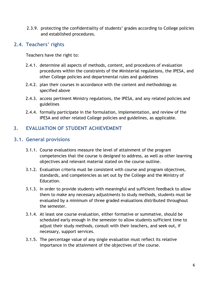2.3.9. protecting the confidentiality of students' grades according to College policies and established procedures.

## **2.4. Teachers' rights**

<span id="page-6-0"></span>Teachers have the right to:

- 2.4.1. determine all aspects of methods, content, and procedures of evaluation procedures within the constraints of the Ministerial regulations, the IPESA, and other College policies and departmental rules and guidelines
- 2.4.2. plan their courses in accordance with the content and methodology as specified above
- 2.4.3. access pertinent Ministry regulations, the IPESA, and any related policies and guidelines
- 2.4.4. formally participate in the formulation, implementation, and review of the IPESA and other related College policies and guidelines, as applicable.

# <span id="page-6-1"></span>**3. EVALUATION OF STUDENT ACHIEVEMENT**

## <span id="page-6-2"></span>**3.1. General provisions**

- 3.1.1. Course evaluations measure the level of attainment of the program competencies that the course is designed to address, as well as other learning objectives and relevant material stated on the course outline.
- 3.1.2. Evaluation criteria must be consistent with course and program objectives, standards, and competencies as set out by the College and the Ministry of Education.
- 3.1.3. In order to provide students with meaningful and sufficient feedback to allow them to make any necessary adjustments to study methods, students must be evaluated by a minimum of three graded evaluations distributed throughout the semester.
- 3.1.4. At least one course evaluation, either formative or summative, should be scheduled early enough in the semester to allow students sufficient time to adjust their study methods, consult with their teachers, and seek out, if necessary, support services.
- 3.1.5. The percentage value of any single evaluation must reflect its relative importance in the attainment of the objectives of the course.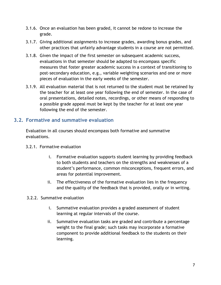- 3.1.6. Once an evaluation has been graded, it cannot be redone to increase the grade.
- 3.1.7. Giving additional assignments to increase grades, awarding bonus grades, and other practices that unfairly advantage students in a course are not permitted.
- 3.1.8. Given the impact of the first semester on subsequent academic success, evaluations in that semester should be adapted to encompass specific measures that foster greater academic success in a context of transitioning to post-secondary education, e.g., variable weighting scenarios and one or more pieces of evaluation in the early weeks of the semester.
- 3.1.9. All evaluation material that is not returned to the student must be retained by the teacher for at least one year following the end of semester. In the case of oral presentations, detailed notes, recordings, or other means of responding to a possible grade appeal must be kept by the teacher for at least one year following the end of the semester.

## **3.2. Formative and summative evaluation**

<span id="page-7-0"></span>Evaluation in all courses should encompass both formative and summative evaluations.

- 3.2.1. Formative evaluation
	- i. Formative evaluation supports student learning by providing feedback to both students and teachers on the strengths and weaknesses of a student's performance, common misconceptions, frequent errors, and areas for potential improvement.
	- ii. The effectiveness of the formative evaluation lies in the frequency and the quality of the feedback that is provided, orally or in writing.
- <span id="page-7-1"></span>3.2.2. Summative evaluation
	- i. Summative evaluation provides a graded assessment of student learning at regular intervals of the course.
	- ii. Summative evaluation tasks are graded and contribute a percentage weight to the final grade; such tasks may incorporate a formative component to provide additional feedback to the students on their learning.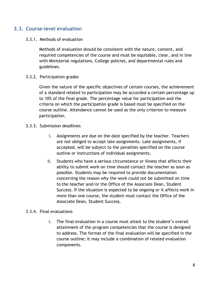## **3.3. Course-level evaluation**

#### 3.3.1. Methods of evaluation

Methods of evaluation should be consistent with the nature, content, and required competencies of the course and must be equitable, clear, and in line with Ministerial regulations, College policies, and departmental rules and guidelines.

#### 3.3.2. Participation grades

Given the nature of the specific objectives of certain courses, the achievement of a standard related to participation may be accorded a certain percentage up to 10% of the final grade. The percentage value for participation and the criteria on which the participation grade is based must be specified on the course outline. Attendance cannot be used as the only criterion to measure participation.

#### 3.3.3. Submission deadlines

- i. Assignments are due on the date specified by the teacher. Teachers are not obliged to accept late assignments. Late assignments, if accepted, will be subject to the penalties specified on the course outline or instructions of individual assignments.
- ii. Students who have a serious circumstance or illness that affects their ability to submit work on time should contact the teacher as soon as possible. Students may be required to provide documentation concerning the reason why the work could not be submitted on time to the teacher and/or the Office of the Associate Dean, Student Success. If the situation is expected to be ongoing or it affects work in more than one course, the student must contact the Office of the Associate Dean, Student Success.

#### 3.3.4. Final evaluations

i. The final evaluation in a course must attest to the student's overall attainment of the program competencies that the course is designed to address. The format of the final evaluation will be specified in the course outline; it may include a combination of related evaluation components.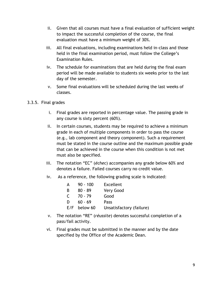- ii. Given that all courses must have a final evaluation of sufficient weight to impact the successful completion of the course, the final evaluation must have a minimum weight of 30%.
- iii. All final evaluations, including examinations held in-class and those held in the final examination period, must follow the College's Examination Rules.
- iv. The schedule for examinations that are held during the final exam period will be made available to students six weeks prior to the last day of the semester.
- v. Some final evaluations will be scheduled during the last weeks of classes.
- 3.3.5. Final grades
	- i. Final grades are reported in percentage value. The passing grade in any course is sixty percent (60%).
	- ii. In certain courses, students may be required to achieve a minimum grade in each of multiple components in order to pass the course (e.g., lab component and theory component). Such a requirement must be stated in the course outline and the maximum possible grade that can be achieved in the course when this condition is not met must also be specified.
	- iii. The notation "EC" (*échec*) accompanies any grade below 60% and denotes a failure. Failed courses carry no credit value.
	- iv. As a reference, the following grading scale is indicated:

| A   | $90 - 100$ | Excellent                |
|-----|------------|--------------------------|
| В   | $80 - 89$  | Very Good                |
| C.  | $70 - 79$  | Good                     |
| D.  | $60 - 69$  | Pass                     |
| E/F | below 60   | Unsatisfactory (failure) |

- v. The notation "RE" (*réussite*) denotes successful completion of a pass/fail activity.
- vi. Final grades must be submitted in the manner and by the date specified by the Office of the Academic Dean.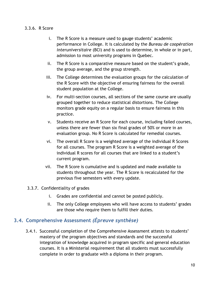#### 3.3.6. R Score

- i. The R Score is a measure used to gauge students' academic performance in College. It is calculated by the *Bureau de coopération interuniversitaire* (BCI) and is used to determine, in whole or in part, admission to most university programs in Quebec.
- ii. The R Score is a comparative measure based on the student's grade, the group average, and the group strength.
- iii. The College determines the evaluation groups for the calculation of the R Score with the objective of ensuring fairness for the overall student population at the College.
- iv. For multi-section courses, all sections of the same course are usually grouped together to reduce statistical distortions. The College monitors grade equity on a regular basis to ensure fairness in this practice.
- v. Students receive an R Score for each course, including failed courses, unless there are fewer than six final grades of 50% or more in an evaluation group. No R Score is calculated for remedial courses.
- vi. The overall R Score is a weighted average of the individual R Scores for all courses. The program R Score is a weighted average of the individual R scores for all courses that are linked to a student's current program.
- vii. The R Score is cumulative and is updated and made available to students throughout the year. The R Score is recalculated for the previous five semesters with every update.

#### 3.3.7. Confidentiality of grades

- i. Grades are confidential and cannot be posted publicly.
- ii. The only College employees who will have access to students' grades are those who require them to fulfill their duties.

## <span id="page-10-0"></span>**3.4. Comprehensive Assessment** *(Épreuve synthèse)*

3.4.1. Successful completion of the Comprehensive Assessment attests to students' mastery of the program objectives and standards and the successful integration of knowledge acquired in program specific and general education courses. It is a Ministerial requirement that all students must successfully complete in order to graduate with a diploma in their program.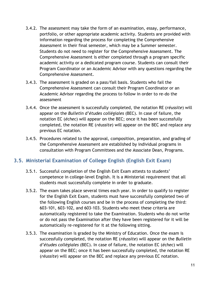- 3.4.2. The assessment may take the form of an examination, essay, performance, portfolio, or other appropriate academic activity. Students are provided with information regarding the process for completing the Comprehensive Assessment in their final semester, which may be a Summer semester. Students do not need to register for the Comprehensive Assessment. The Comprehensive Assessment is either completed through a program specific academic activity or a dedicated program course. Students can consult their Program Coordinator or an Academic Advisor with any questions regarding the Comprehensive Assessment.
- 3.4.3. The assessment is graded on a pass/fail basis. Students who fail the Comprehensive Assessment can consult their Program Coordinator or an Academic Advisor regarding the process to follow in order to re-do the assessment
- 3.4.4. Once the assessment is successfully completed, the notation RE (*réussite*) will appear on the *Bulletin d'études collégiales* (BEC). In case of failure, the notation EC (*échec*) will appear on the BEC; once it has been successfully completed, the notation RE (*réussite*) will appear on the BEC and replace any previous EC notation.
- 3.4.5. Procedures related to the approval, composition, preparation, and grading of the Comprehensive Assessment are established by individual programs in consultation with Program Committees and the Associate Dean, Programs.

## <span id="page-11-0"></span>**3.5. Ministerial Examination of College English (English Exit Exam)**

- 3.5.1. Successful completion of the English Exit Exam attests to students' competence in college-level English. It is a Ministerial requirement that all students must successfully complete in order to graduate.
- 3.5.2. The exam takes place several times each year. In order to qualify to register for the English Exit Exam, students must have successfully completed two of the following English courses and be in the process of completing the third: 603-101, 603-102, and 603-103. Students who meet these criteria are automatically registered to take the Examination. Students who do not write or do not pass the Examination after they have been registered for it will be automatically re-registered for it at the following sitting.
- 3.5.3. The examination is graded by the Ministry of Education. Once the exam is successfully completed, the notation RE (*réussite*) will appear on the *Bulletin d'études collégiales* (BEC). In case of failure, the notation EC (*échec*) will appear on the BEC; once it has been successfully completed, the notation RE (*réussite*) will appear on the BEC and replace any previous EC notation.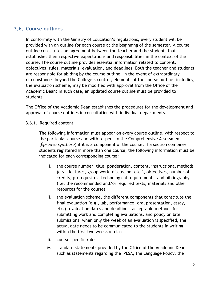## <span id="page-12-0"></span>**3.6. Course outlines**

In conformity with the Ministry of Education's regulations, every student will be provided with an outline for each course at the beginning of the semester. A course outline constitutes an agreement between the teacher and the students that establishes their respective expectations and responsibilities in the context of the course. The course outline provides essential information related to content, objectives, rules, materials, evaluation, and deadlines. Both the teacher and students are responsible for abiding by the course outline. In the event of extraordinary circumstances beyond the College's control, elements of the course outline, including the evaluation scheme, may be modified with approval from the Office of the Academic Dean; in such case, an updated course outline must be provided to students.

The Office of the Academic Dean establishes the procedures for the development and approval of course outlines in consultation with individual departments.

3.6.1. Required content

The following information must appear on every course outline, with respect to the particular course and with respect to the Comprehensive Assessment (*Épreuve synthèse*) if it is a component of the course; if a section combines students registered in more than one course, the following information must be indicated for each corresponding course:

- i. the course number, title, ponderation, content, instructional methods (e.g., lectures, group work, discussion, etc.), objectives, number of credits, prerequisites, technological requirements, and bibliography (i.e. the recommended and/or required texts, materials and other resources for the course)
- ii. the evaluation scheme, the different components that constitute the final evaluation (e.g., lab, performance, oral presentation, essay, etc.), evaluation dates and deadlines, acceptable methods for submitting work and completing evaluations, and policy on late submissions; when only the week of an evaluation is specified, the actual date needs to be communicated to the students in writing within the first two weeks of class
- iii. course specific rules
- iv. standard statements provided by the Office of the Academic Dean such as statements regarding the IPESA, the Language Policy, the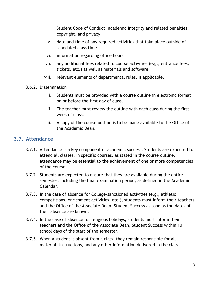Student Code of Conduct, academic integrity and related penalties, copyright, and privacy

- v. date and time of any required activities that take place outside of scheduled class time
- vi. information regarding office hours
- vii. any additional fees related to course activities (e.g., entrance fees, tickets, etc.) as well as materials and software
- viii. relevant elements of departmental rules, if applicable.
- 3.6.2. Dissemination
	- i. Students must be provided with a course outline in electronic format on or before the first day of class.
	- ii. The teacher must review the outline with each class during the first week of class.
	- iii. A copy of the course outline is to be made available to the Office of the Academic Dean.

### <span id="page-13-0"></span>**3.7. Attendance**

- 3.7.1. Attendance is a key component of academic success. Students are expected to attend all classes. In specific courses, as stated in the course outline, attendance may be essential to the achievement of one or more competencies of the course.
- 3.7.2. Students are expected to ensure that they are available during the entire semester, including the final examination period, as defined in the Academic Calendar.
- 3.7.3. In the case of absence for College-sanctioned activities (e.g., athletic competitions, enrichment activities, etc.), students must inform their teachers and the Office of the Associate Dean, Student Success as soon as the dates of their absence are known.
- 3.7.4. In the case of absence for religious holidays, students must inform their teachers and the Office of the Associate Dean, Student Success within 10 school days of the start of the semester.
- 3.7.5. When a student is absent from a class, they remain responsible for all material, instructions, and any other information delivered in the class.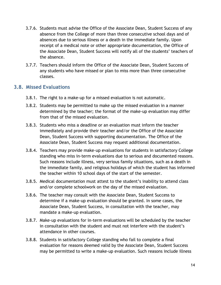- 3.7.6. Students must advise the Office of the Associate Dean, Student Success of any absence from the College of more than three consecutive school days and of absences due to serious illness or a death in the immediate family. Upon receipt of a medical note or other appropriate documentation, the Office of the Associate Dean, Student Success will notify all of the students' teachers of the absence.
- 3.7.7. Teachers should inform the Office of the Associate Dean, Student Success of any students who have missed or plan to miss more than three consecutive classes.

### <span id="page-14-0"></span>**3.8. Missed Evaluations**

- 3.8.1. The right to a make-up for a missed evaluation is not automatic.
- 3.8.2. Students may be permitted to make up the missed evaluation in a manner determined by the teacher; the format of the make-up evaluation may differ from that of the missed evaluation.
- 3.8.3. Students who miss a deadline or an evaluation must inform the teacher immediately and provide their teacher and/or the Office of the Associate Dean, Student Success with supporting documentation. The Office of the Associate Dean, Student Success may request additional documentation.
- 3.8.4. Teachers may provide make-up evaluations for students in satisfactory College standing who miss in-term evaluations due to serious and documented reasons. Such reasons include illness, very serious family situations, such as a death in the immediate family, and religious holidays of which the student has informed the teacher within 10 school days of the start of the semester.
- 3.8.5. Medical documentation must attest to the student's inability to attend class and/or complete schoolwork on the day of the missed evaluation.
- 3.8.6. The teacher may consult with the Associate Dean, Student Success to determine if a make-up evaluation should be granted. In some cases, the Associate Dean, Student Success, in consultation with the teacher, may mandate a make-up evaluation.
- 3.8.7. Make-up evaluations for in-term evaluations will be scheduled by the teacher in consultation with the student and must not interfere with the student's attendance in other courses.
- 3.8.8. Students in satisfactory College standing who fail to complete a final evaluation for reasons deemed valid by the Associate Dean, Student Success may be permitted to write a make-up evaluation. Such reasons include illness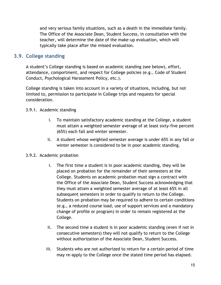and very serious family situations, such as a death in the immediate family. The Office of the Associate Dean, Student Success, in consultation with the teacher, will determine the date of the make-up evaluation, which will typically take place after the missed evaluation.

## **3.9. College standing**

<span id="page-15-0"></span>A student's College standing is based on academic standing (see below), effort, attendance, comportment, and respect for College policies (e.g., Code of Student Conduct, Psychological Harassment Policy, etc.).

College standing is taken into account in a variety of situations, including, but not limited to, permission to participate in College trips and requests for special consideration.

#### 3.9.1. Academic standing

- i. To maintain satisfactory academic standing at the College, a student must attain a weighted semester average of at least sixty-five percent (65%) each fall and winter semester.
- ii. A student whose weighted semester average is under 65% in any fall or winter semester is considered to be in poor academic standing.

#### 3.9.2. Academic probation

- i. The first time a student is in poor academic standing, they will be placed on probation for the remainder of their semesters at the College. Students on academic probation must sign a contract with the Office of the Associate Dean, Student Success acknowledging that they must attain a weighted semester average of at least 65% in all subsequent semesters in order to qualify to return to the College. Students on probation may be required to adhere to certain conditions (e.g., a reduced course load, use of support services and a mandatory change of profile or program) in order to remain registered at the College.
- ii. The second time a student is in poor academic standing (even if not in consecutive semesters) they will not qualify to return to the College without authorization of the Associate Dean, Student Success.
- iii. Students who are not authorized to return for a certain period of time may re-apply to the College once the stated time period has elapsed.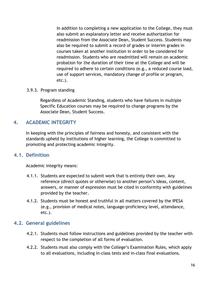In addition to completing a new application to the College, they must also submit an explanatory letter and receive authorization for readmission from the Associate Dean, Student Success. Students may also be required to submit a record of grades or interim grades in courses taken at another institution in order to be considered for readmission. Students who are readmitted will remain on academic probation for the duration of their time at the College and will be required to adhere to certain conditions (e.g., a reduced course load, use of support services, mandatory change of profile or program, etc.).

#### 3.9.3. Program standing

Regardless of Academic Standing, students who have failures in multiple Specific Education courses may be required to change programs by the Associate Dean, Student Success.

## **4. ACADEMIC INTEGRITY**

<span id="page-16-0"></span>In keeping with the principles of fairness and honesty, and consistent with the standards upheld by institutions of higher learning, the College is committed to promoting and protecting academic integrity.

### **4.1. Definition**

<span id="page-16-1"></span>Academic integrity means:

- 4.1.1. Students are expected to submit work that is entirely their own. Any reference (direct quotes or otherwise) to another person's ideas, content, answers, or manner of expression must be cited in conformity with guidelines provided by the teacher.
- 4.1.2. Students must be honest and truthful in all matters covered by the IPESA (e.g., provision of medical notes, language-proficiency level, attendance, etc.).

## **4.2. General guidelines**

- <span id="page-16-2"></span>4.2.1. Students must follow instructions and guidelines provided by the teacher with respect to the completion of all forms of evaluation.
- 4.2.2. Students must also comply with the College's Examination Rules, which apply to all evaluations, including in-class tests and in-class final evaluations.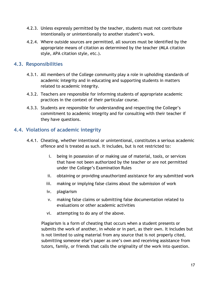- 4.2.3. Unless expressly permitted by the teacher, students must not contribute intentionally or unintentionally to another student's work.
- 4.2.4. Where outside sources are permitted, all sources must be identified by the appropriate means of citation as determined by the teacher (MLA citation style, APA citation style, etc.).

## **4.3. Responsibilities**

- <span id="page-17-0"></span>4.3.1. All members of the College community play a role in upholding standards of academic integrity and in educating and supporting students in matters related to academic integrity.
- 4.3.2. Teachers are responsible for informing students of appropriate academic practices in the context of their particular course.
- 4.3.3. Students are responsible for understanding and respecting the College's commitment to academic integrity and for consulting with their teacher if they have questions.

## **4.4. Violations of academic integrity**

- <span id="page-17-1"></span>4.4.1. Cheating, whether intentional or unintentional, constitutes a serious academic offence and is treated as such. It includes, but is not restricted to:
	- i. being in possession of or making use of material, tools, or services that have not been authorized by the teacher or are not permitted under the College's Examination Rules
	- ii. obtaining or providing unauthorized assistance for any submitted work
	- iii. making or implying false claims about the submission of work
	- iv. plagiarism
	- v. making false claims or submitting false documentation related to evaluations or other academic activities
	- vi. attempting to do any of the above.

Plagiarism is a form of cheating that occurs when a student presents or submits the work of another, in whole or in part, as their own. It includes but is not limited to using material from any source that is not properly cited, submitting someone else's paper as one's own and receiving assistance from tutors, family, or friends that calls the originality of the work into question.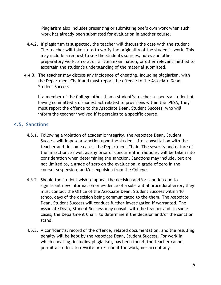Plagiarism also includes presenting or submitting one's own work when such work has already been submitted for evaluation in another course.

- 4.4.2. If plagiarism is suspected, the teacher will discuss the case with the student. The teacher will take steps to verify the originality of the student's work. This may include a request to see the student's sources, notes and other preparatory work, an oral or written examination, or other relevant method to ascertain the student's understanding of the material submitted.
- 4.4.3. The teacher may discuss any incidence of cheating, including plagiarism, with the Department Chair and must report the offence to the Associate Dean, Student Success.

If a member of the College other than a student's teacher suspects a student of having committed a dishonest act related to provisions within the IPESA, they must report the offence to the Associate Dean, Student Success, who will inform the teacher involved if it pertains to a specific course.

## **4.5. Sanctions**

- <span id="page-18-0"></span>4.5.1. Following a violation of academic integrity, the Associate Dean, Student Success will impose a sanction upon the student after consultation with the teacher and, in some cases, the Department Chair. The severity and nature of the infraction, as well as any prior or concurrent infractions, will be taken into consideration when determining the sanction. Sanctions may include, but are not limited to, a grade of zero on the evaluation, a grade of zero in the course, suspension, and/or expulsion from the College.
- 4.5.2. Should the student wish to appeal the decision and/or sanction due to significant new information or evidence of a substantial procedural error, they must contact the Office of the Associate Dean, Student Success within 10 school days of the decision being communicated to the them. The Associate Dean, Student Success will conduct further investigation if warranted. The Associate Dean, Student Success may consult with the teacher and, in some cases, the Department Chair, to determine if the decision and/or the sanction stand.
- 4.5.3. A confidential record of the offence, related documentation, and the resulting penalty will be kept by the Associate Dean, Student Success. For work in which cheating, including plagiarism, has been found, the teacher cannot permit a student to rewrite or re-submit the work, nor accept any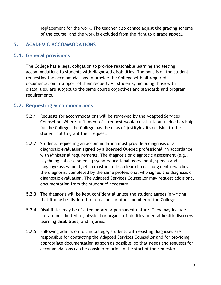replacement for the work. The teacher also cannot adjust the grading scheme of the course, and the work is excluded from the right to a grade appeal.

# <span id="page-19-0"></span>**5. ACADEMIC ACCOMMODATIONS**

### <span id="page-19-1"></span>**5.1. General provisions**

The College has a legal obligation to provide reasonable learning and testing accommodations to students with diagnosed disabilities. The onus is on the student requesting the accommodations to provide the College with all required documentation in support of their request. All students, including those with disabilities, are subject to the same course objectives and standards and program requirements.

### <span id="page-19-2"></span>**5.2. Requesting accommodations**

- 5.2.1. Requests for accommodations will be reviewed by the Adapted Services Counsellor. Where fulfillment of a request would constitute an undue hardship for the College, the College has the onus of justifying its decision to the student not to grant their request.
- 5.2.2. Students requesting an accommodation must provide a diagnosis or a diagnostic evaluation signed by a licensed Quebec professional, in accordance with Ministerial requirements. The diagnosis or diagnostic assessment (e.g., psychological assessment, psycho-educational assessment, speech and language assessment, etc.) must include a clear clinical judgment regarding the diagnosis, completed by the same professional who signed the diagnosis or diagnostic evaluation. The Adapted Services Counsellor may request additional documentation from the student if necessary.
- 5.2.3. The diagnosis will be kept confidential unless the student agrees in writing that it may be disclosed to a teacher or other member of the College.
- 5.2.4. Disabilities may be of a temporary or permanent nature. They may include, but are not limited to, physical or organic disabilities, mental health disorders, learning disabilities, and injuries.
- 5.2.5. Following admission to the College, students with existing diagnoses are responsible for contacting the Adapted Services Counsellor and for providing appropriate documentation as soon as possible, so that needs and requests for accommodations can be considered prior to the start of the semester.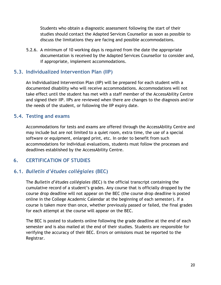Students who obtain a diagnostic assessment following the start of their studies should contact the Adapted Services Counsellor as soon as possible to discuss the limitations they are facing and possible accommodations.

5.2.6. A minimum of 10 working days is required from the date the appropriate documentation is received by the Adapted Services Counsellor to consider and, if appropriate, implement accommodations.

### <span id="page-20-0"></span>**5.3. Individualized Intervention Plan (IIP)**

An Individualized Intervention Plan (IIP) will be prepared for each student with a documented disability who will receive accommodations. Accommodations will not take effect until the student has met with a staff member of the AccessAbility Centre and signed their IIP. IIPs are reviewed when there are changes to the diagnosis and/or the needs of the student, or following the IIP expiry date.

## <span id="page-20-1"></span>**5.4. Testing and exams**

Accommodations for tests and exams are offered through the AccessAbility Centre and may include but are not limited to a quiet room, extra time, the use of a special software or equipment, enlarged print, etc. In order to benefit from such accommodations for individual evaluations, students must follow the processes and deadlines established by the AccessAbility Centre.

## <span id="page-20-2"></span>**6. CERTIFICATION OF STUDIES**

## **6.1.** *Bulletin d'études collégiales* **(BEC)**

<span id="page-20-3"></span>The *Bulletin d'études collégiales* (BEC) is the official transcript containing the cumulative record of a student's grades. Any course that is officially dropped by the course drop deadline will not appear on the BEC (the course drop deadline is posted online in the College Academic Calendar at the beginning of each semester). If a course is taken more than once, whether previously passed or failed, the final grades for each attempt at the course will appear on the BEC.

The BEC is posted to students online following the grade deadline at the end of each semester and is also mailed at the end of their studies. Students are responsible for verifying the accuracy of their BEC. Errors or omissions must be reported to the Registrar.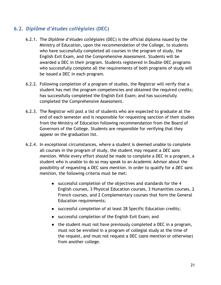# <span id="page-21-0"></span>**6.2.** *Diplôme d'études collégiales* **(DEC)**

- 6.2.1. The *Diplôme d'études collégiales* (DEC) is the official diploma issued by the Ministry of Education, upon the recommendation of the College, to students who have successfully completed all courses in the program of study, the English Exit Exam, and the Comprehensive Assessment. Students will be awarded a DEC in their program. Students registered in Double-DEC programs who successfully complete all the requirements of both programs of study will be issued a DEC in each program.
- 6.2.2. Following completion of a program of studies, the Registrar will verify that a student has met the program competencies and obtained the required credits; has successfully completed the English Exit Exam; and has successfully completed the Comprehensive Assessment.
- 6.2.3. The Registrar will post a list of students who are expected to graduate at the end of each semester and is responsible for requesting sanction of their studies from the Ministry of Education following recommendation from the Board of Governors of the College. Students are responsible for verifying that they appear on the graduation list.
- 6.2.4. In exceptional circumstances, where a student is deemed unable to complete all courses in the program of study, the student may request a *DEC sans mention.* While every effort should be made to complete a DEC in a program, a student who is unable to do so may speak to an Academic Advisor about the possibility of requesting a DEC *sans mention*. In order to qualify for a *DEC sans mention*, the following criteria must be met:
	- successful completion of the objectives and standards for the 4 English courses, 3 Physical Education courses, 3 Humanities courses, 2 French courses, and 2 Complementary courses that form the General Education requirements;
	- successful completion of at least 28 Specific Education credits;
	- successful completion of the English Exit Exam; and
	- the student must not have previously completed a DEC in a program, must not be enrolled in a program of collegial study at the time of the request, and must not request a DEC (*sans mention* or otherwise) from another college.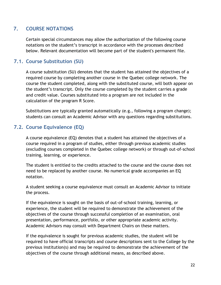## **7. COURSE NOTATIONS**

<span id="page-22-0"></span>Certain special circumstances may allow the authorization of the following course notations on the student's transcript in accordance with the processes described below. Relevant documentation will become part of the student's permanent file.

## <span id="page-22-1"></span>**7.1. Course Substitution (SU)**

A course substitution (SU) denotes that the student has attained the objectives of a required course by completing another course in the Quebec college network. The course the student completed, along with the substituted course, will both appear on the student's transcript. Only the course completed by the student carries a grade and credit value. Courses substituted into a program are not included in the calculation of the program R Score.

Substitutions are typically granted automatically (e.g., following a program change); students can consult an Academic Advisor with any questions regarding substitutions.

## <span id="page-22-2"></span>**7.2. Course Equivalence (EQ)**

A course equivalence (EQ) denotes that a student has attained the objectives of a course required in a program of studies, either through previous academic studies (excluding courses completed in the Quebec college network) or through out-of-school training, learning, or experience.

The student is entitled to the credits attached to the course and the course does not need to be replaced by another course. No numerical grade accompanies an EQ notation.

A student seeking a course equivalence must consult an Academic Advisor to initiate the process.

If the equivalence is sought on the basis of out-of-school training, learning, or experience, the student will be required to demonstrate the achievement of the objectives of the course through successful completion of an examination, oral presentation, performance, portfolio, or other appropriate academic activity. Academic Advisors may consult with Department Chairs on these matters.

If the equivalence is sought for previous academic studies, the student will be required to have official transcripts and course descriptions sent to the College by the previous institution(s) and may be required to demonstrate the achievement of the objectives of the course through additional means, as described above.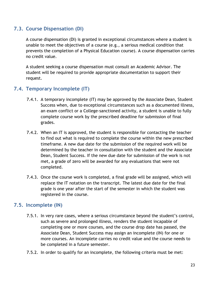### <span id="page-23-0"></span>**7.3. Course Dispensation (DI)**

A course dispensation (DI) is granted in exceptional circumstances where a student is unable to meet the objectives of a course (e.g., a serious medical condition that prevents the completion of a Physical Education course). A course dispensation carries no credit value.

A student seeking a course dispensation must consult an Academic Advisor. The student will be required to provide appropriate documentation to support their request.

## <span id="page-23-1"></span>**7.4. Temporary Incomplete (IT)**

- 7.4.1. A temporary incomplete (IT) may be approved by the Associate Dean, Student Success when, due to exceptional circumstances such as a documented illness, an exam conflict or a College-sanctioned activity, a student is unable to fully complete course work by the prescribed deadline for submission of final grades.
- 7.4.2. When an IT is approved, the student is responsible for contacting the teacher to find out what is required to complete the course within the new prescribed timeframe. A new due date for the submission of the required work will be determined by the teacher in consultation with the student and the Associate Dean, Student Success. If the new due date for submission of the work is not met, a grade of zero will be awarded for any evaluations that were not completed.
- 7.4.3. Once the course work is completed, a final grade will be assigned, which will replace the IT notation on the transcript. The latest due date for the final grade is one year after the start of the semester in which the student was registered in the course.

### <span id="page-23-2"></span>**7.5. Incomplete (IN)**

- 7.5.1. In very rare cases, where a serious circumstance beyond the student's control, such as severe and prolonged illness, renders the student incapable of completing one or more courses, and the course drop date has passed, the Associate Dean, Student Success may assign an incomplete (IN) for one or more courses. An incomplete carries no credit value and the course needs to be completed in a future semester.
- 7.5.2. In order to qualify for an incomplete, the following criteria must be met: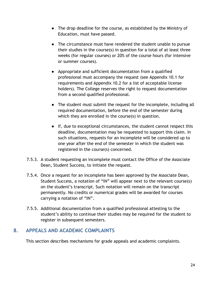- The drop deadline for the course, as established by the Ministry of Education, must have passed.
- The circumstance must have rendered the student unable to pursue their studies in the course(s) in question for a total of at least three weeks (for regular courses) or 20% of the course hours (for intensive or summer courses).
- Appropriate and sufficient documentation from a qualified professional must accompany the request (see Appendix 10.1 for requirements and Appendix 10.2 for a list of acceptable license holders). The College reserves the right to request documentation from a second qualified professional.
- The student must submit the request for the incomplete, including all required documentation, before the end of the semester during which they are enrolled in the course(s) in question.
- If, due to exceptional circumstances, the student cannot respect this deadline, documentation may be requested to support this claim. In such situations, requests for an incomplete will be considered up to one year after the end of the semester in which the student was registered in the course(s) concerned.
- 7.5.3. A student requesting an incomplete must contact the Office of the Associate Dean, Student Success, to initiate the request.
- 7.5.4. Once a request for an incomplete has been approved by the Associate Dean, Student Success, a notation of "IN" will appear next to the relevant course(s) on the student's transcript. Such notation will remain on the transcript permanently. No credits or numerical grades will be awarded for courses carrying a notation of "IN".
- 7.5.5. Additional documentation from a qualified professional attesting to the student's ability to continue their studies may be required for the student to register in subsequent semesters.

## **8. APPEALS AND ACADEMIC COMPLAINTS**

<span id="page-24-0"></span>This section describes mechanisms for grade appeals and academic complaints.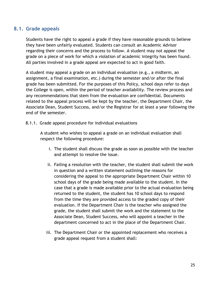#### <span id="page-25-0"></span>**8.1. Grade appeals**

Students have the right to appeal a grade if they have reasonable grounds to believe they have been unfairly evaluated. Students can consult an Academic Advisor regarding their concerns and the process to follow. A student may not appeal the grade on a piece of work for which a violation of academic integrity has been found. All parties involved in a grade appeal are expected to act in good faith.

A student may appeal a grade on an individual evaluation (e.g., a midterm, an assignment, a final examination, etc.) during the semester and/or after the final grade has been submitted. For the purposes of this Policy, school days refer to days the College is open, within the period of teacher availability. The review process and any recommendations that stem from the evaluation are confidential. Documents related to the appeal process will be kept by the teacher, the Department Chair, the Associate Dean, Student Success, and/or the Registrar for at least a year following the end of the semester.

8.1.1. Grade appeal procedure for individual evaluations

A student who wishes to appeal a grade on an individual evaluation shall respect the following procedure:

- i. The student shall discuss the grade as soon as possible with the teacher and attempt to resolve the issue.
- ii. Failing a resolution with the teacher, the student shall submit the work in question and a written statement outlining the reasons for considering the appeal to the appropriate Department Chair within 10 school days of the grade being made available to the student. In the case that a grade is made available prior to the actual evaluation being returned to the student, the student has 10 school days to respond from the time they are provided access to the graded copy of their evaluation. If the Department Chair is the teacher who assigned the grade, the student shall submit the work and the statement to the Associate Dean, Student Success, who will appoint a teacher in the department concerned to act in the place of the Department Chair.
- iii. The Department Chair or the appointed replacement who receives a grade appeal request from a student shall: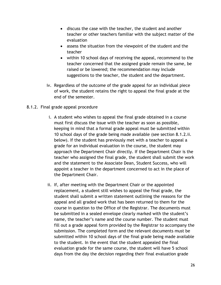- discuss the case with the teacher, the student and another teacher or other teachers familiar with the subject matter of the evaluation
- assess the situation from the viewpoint of the student and the teacher
- within 10 school days of receiving the appeal, recommend to the teacher concerned that the assigned grade remain the same, be raised or be lowered; the recommendation may include suggestions to the teacher, the student and the department.
- iv. Regardless of the outcome of the grade appeal for an individual piece of work, the student retains the right to appeal the final grade at the end of the semester.
- 8.1.2. Final grade appeal procedure
	- i. A student who wishes to appeal the final grade obtained in a course must first discuss the issue with the teacher as soon as possible, keeping in mind that a formal grade appeal must be submitted within 10 school days of the grade being made available (see section 8.1.2.ii. below). If the student has previously met with a teacher to appeal a grade for an individual evaluation in the course, the student may approach the Department Chair directly. If the Department Chair is the teacher who assigned the final grade, the student shall submit the work and the statement to the Associate Dean, Student Success, who will appoint a teacher in the department concerned to act in the place of the Department Chair.
	- ii. If, after meeting with the Department Chair or the appointed replacement, a student still wishes to appeal the final grade, the student shall submit a written statement outlining the reasons for the appeal and all graded work that has been returned to them for the course in question to the Office of the Registrar. The documents must be submitted in a sealed envelope clearly marked with the student's name, the teacher's name and the course number. The student must fill out a grade appeal form provided by the Registrar to accompany the submission. The completed form and the relevant documents must be submitted within 10 school days of the final grade being made available to the student. In the event that the student appealed the final evaluation grade for the same course, the student will have 5 school days from the day the decision regarding their final evaluation grade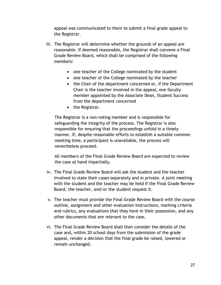appeal was communicated to them to submit a final grade appeal to the Registrar.

- iii. The Registrar will determine whether the grounds of an appeal are reasonable. If deemed reasonable, the Registrar shall convene a Final Grade Review Board, which shall be comprised of the following members:
	- one teacher of the College nominated by the student
	- one teacher of the College nominated by the teacher
	- the Chair of the department concerned or, if the Department Chair is the teacher involved in the appeal, one faculty member appointed by the Associate Dean, Student Success from the department concerned
	- the Registrar.

The Registrar is a non-voting member and is responsible for safeguarding the integrity of the process. The Registrar is also responsible for ensuring that the proceedings unfold in a timely manner. If, despite reasonable efforts to establish a suitable common meeting time, a participant is unavailable, the process will nevertheless proceed.

All members of the Final Grade Review Board are expected to review the case at hand impartially.

- iv. The Final Grade Review Board will ask the student and the teacher involved to state their cases separately and in private. A joint meeting with the student and the teacher may be held if the Final Grade Review Board, the teacher, and/or the student request it.
- v. The teacher must provide the Final Grade Review Board with the course outline, assignment and other evaluation instructions, marking criteria and rubrics, any evaluations that they have in their possession, and any other documents that are relevant to the case.
- vi. The Final Grade Review Board shall then consider the details of the case and, within 20 school days from the submission of the grade appeal, render a decision that the final grade be raised, lowered or remain unchanged.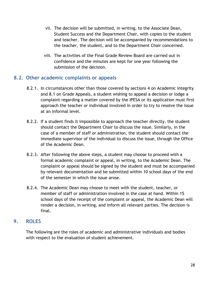- vii. The decision will be submitted, in writing, to the Associate Dean, Student Success and the Department Chair, with copies to the student and teacher. The decision will be accompanied by recommendations to the teacher, the student, and to the Department Chair concerned.
- viii. The activities of the Final Grade Review Board are carried out in confidence and the minutes are kept for one year following the submission of the decision.

### **8.2. Other academic complaints or appeals**

- <span id="page-28-0"></span>8.2.1. In circumstances other than those covered by sections 4 on Academic Integrity and 8.1 on Grade Appeals, a student wishing to appeal a decision or lodge a complaint regarding a matter covered by the IPESA or its application must first approach the teacher or individual involved in order to try to resolve the issue at an informal level.
- 8.2.2. If a student finds it impossible to approach the teacher directly, the student should contact the Department Chair to discuss the issue. Similarly, in the case of a member of staff or administration, the student should contact the immediate supervisor of the individual to discuss the issue, through the Office of the Academic Dean.
- 8.2.3. After following the above steps, a student may choose to proceed with a formal academic complaint or appeal, in writing, to the Academic Dean. The complaint or appeal should be signed by the student and must be accompanied by relevant documentation and be submitted within 10 school days of the end of the semester in which the issue arose.
- 8.2.4. The Academic Dean may choose to meet with the student, teacher, or member of staff or administration involved in the case at hand. Within 15 school days of the receipt of the complaint or appeal, the Academic Dean will render a decision, in writing, and inform all relevant parties. The decision is final.

### **9. ROLES**

<span id="page-28-1"></span>The following are the roles of academic and administrative individuals and bodies with respect to the evaluation of student achievement.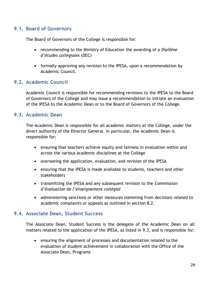## **9.1. Board of Governors**

<span id="page-29-0"></span>The Board of Governors of the College is responsible for:

- recommending to the Ministry of Education the awarding of a *Diplôme d'études collégiales* (DEC)
- formally approving any revision to the IPESA, upon a recommendation by Academic Council.

### <span id="page-29-1"></span>**9.2. Academic Council**

Academic Council is responsible for recommending revisions to the IPESA to the Board of Governors of the College and may issue a recommendation to initiate an evaluation of the IPESA to the Academic Dean or to the Board of Governors of the College.

#### **9.3. Academic Dean**

<span id="page-29-2"></span>The Academic Dean is responsible for all academic matters at the College, under the direct authority of the Director General. In particular, the Academic Dean is responsible for:

- ensuring that teachers achieve equity and fairness in evaluation within and across the various academic disciplines at the College
- overseeing the application, evaluation, and revision of the IPESA
- ensuring that the IPESA is made available to students, teachers and other stakeholders
- transmitting the IPESA and any subsequent revision to the *Commission d'évaluation de l'enseignement collégial*
- administering sanctions or other measures stemming from decisions related to academic complaints or appeals as outlined in section 8.2.

### <span id="page-29-3"></span>**9.4. Associate Dean, Student Success**

The Associate Dean, Student Success is the delegate of the Academic Dean on all matters related to the application of the IPESA, as listed in 9.3, and is responsible for:

 ensuring the alignment of processes and documentation related to the evaluation of student achievement in collaboration with the Office of the Associate Dean, Programs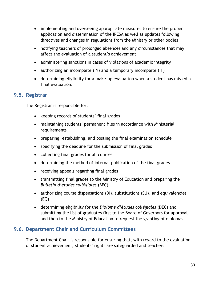- implementing and overseeing appropriate measures to ensure the proper application and dissemination of the IPESA as well as updates following directives and changes in regulations from the Ministry or other bodies
- notifying teachers of prolonged absences and any circumstances that may affect the evaluation of a student's achievement
- administering sanctions in cases of violations of academic integrity
- authorizing an incomplete (IN) and a temporary incomplete (IT)
- determining eligibility for a make-up evaluation when a student has missed a final evaluation.

#### **9.5. Registrar**

<span id="page-30-0"></span>The Registrar is responsible for:

- keeping records of students' final grades
- maintaining students' permanent files in accordance with Ministerial requirements
- preparing, establishing, and posting the final examination schedule
- specifying the deadline for the submission of final grades
- collecting final grades for all courses
- determining the method of internal publication of the final grades
- receiving appeals regarding final grades
- transmitting final grades to the Ministry of Education and preparing the *Bulletin d'études collégiales* (BEC)
- authorizing course dispensations (DI), substitutions (SU), and equivalencies (EQ)
- determining eligibility for the *Diplôme d'études collégiales* (DEC) and submitting the list of graduates first to the Board of Governors for approval and then to the Ministry of Education to request the granting of diplomas.

## **9.6. Department Chair and Curriculum Committees**

<span id="page-30-1"></span>The Department Chair is responsible for ensuring that, with regard to the evaluation of student achievement, students' rights are safeguarded and teachers'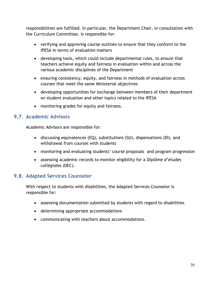responsibilities are fulfilled. In particular, the Department Chair, in consultation with the Curriculum Committee, is responsible for:

- verifying and approving course outlines to ensure that they conform to the IPESA in terms of evaluation matters
- developing tools, which could include departmental rules, to ensure that teachers achieve equity and fairness in evaluation within and across the various academic disciplines of the Department
- ensuring consistency, equity, and fairness in methods of evaluation across courses that meet the same Ministerial objectives
- developing opportunities for exchange between members of their department on student evaluation and other topics related to the IPESA
- monitoring grades for equity and fairness.

## **9.7. Academic Advisors**

<span id="page-31-0"></span>Academic Advisors are responsible for:

- discussing equivalences (EQ), substitutions (SU), dispensations (DI), and withdrawal from courses with students
- monitoring and evaluating students' course proposals and program progression
- assessing academic records to monitor eligibility for a *Diplôme d'études collégiales* (DEC).

# **9.8. Adapted Services Counselor**

<span id="page-31-1"></span>With respect to students with disabilities, the Adapted Services Counselor is responsible for:

- assessing documentation submitted by students with regard to disabilities
- determining appropriate accommodations
- communicating with teachers about accommodations.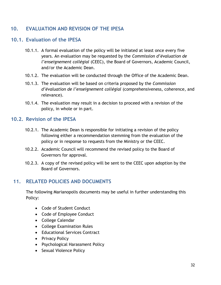## <span id="page-32-0"></span>**10. EVALUATION AND REVISION OF THE IPESA**

#### **10.1. Evaluation of the IPESA**

- <span id="page-32-1"></span>10.1.1. A formal evaluation of the policy will be initiated at least once every five years. An evaluation may be requested by the *Commission d'évaluation de l'enseignement collégial* (CEEC), the Board of Governors, Academic Council, and/or the Academic Dean.
- 10.1.2. The evaluation will be conducted through the Office of the Academic Dean.
- 10.1.3. The evaluation will be based on criteria proposed by the *Commission d'évaluation de l'enseignement collégial* (comprehensiveness, coherence, and relevance).
- 10.1.4. The evaluation may result in a decision to proceed with a revision of the policy, in whole or in part.

#### **10.2. Revision of the IPESA**

- <span id="page-32-2"></span>10.2.1. The Academic Dean is responsible for initiating a revision of the policy following either a recommendation stemming from the evaluation of the policy or in response to requests from the Ministry or the CEEC.
- 10.2.2. Academic Council will recommend the revised policy to the Board of Governors for approval.
- 10.2.3. A copy of the revised policy will be sent to the CEEC upon adoption by the Board of Governors.

#### **11. RELATED POLICIES AND DOCUMENTS**

<span id="page-32-3"></span>The following Marianopolis documents may be useful in further understanding this Policy:

- Code of Student Conduct
- Code of Employee Conduct
- College Calendar
- College Examination Rules
- Educational Services Contract
- Privacy Policy
- Psychological Harassment Policy
- Sexual Violence Policy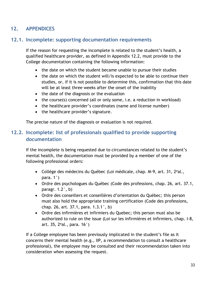# <span id="page-33-0"></span>**12. APPENDICES**

## **12.1. Incomplete: supporting documentation requirements**

<span id="page-33-1"></span>If the reason for requesting the incomplete is related to the student's health, a qualified healthcare provider, as defined in Appendix 12.2, must provide to the College documentation containing the following information:

- the date on which the student became unable to pursue their studies
- the date on which the student will/is expected to be able to continue their studies, or, if it is not possible to determine this, confirmation that this date will be at least three weeks after the onset of the inability
- the date of the diagnosis or the evaluation
- the course(s) concerned (all or only some, i.e. a reduction in workload)
- the healthcare provider's coordinates (name and license number)
- the healthcare provider's signature.

<span id="page-33-2"></span>The precise nature of the diagnosis or evaluation is not required.

## **12.2. Incomplete: list of professionals qualified to provide supporting documentation**

If the incomplete is being requested due to circumstances related to the student's mental health, the documentation must be provided by a member of one of the following professional orders:

- Collège des médecins du Québec (Loi médicale, chap. M-9, art. 31, 2<sup>e</sup>al., para. 1°)
- Ordre des psychologues du Québec (Code des professions, chap. 26, art. 37.1, paragr. 1.2°, b)
- Ordre des conseillers et conseillères d'orientation du Québec; this person must also hold the appropriate training certification (Code des professions, chap. 26, art. 37.1, para. 1.3.1°, b)
- Ordre des infirmières et infirmiers du Quebec; this person must also be authorized to rule on the issue (Loi sur les infirmières et infirmiers, chap. I-8, art. 35, 2 $\text{e}$ al., para. 16 $\text{\degree}$ )

If a College employee has been previously implicated in the student's file as it concerns their mental health (e.g., IIP, a recommendation to consult a healthcare professional), the employee may be consulted and their recommendation taken into consideration when assessing the request.